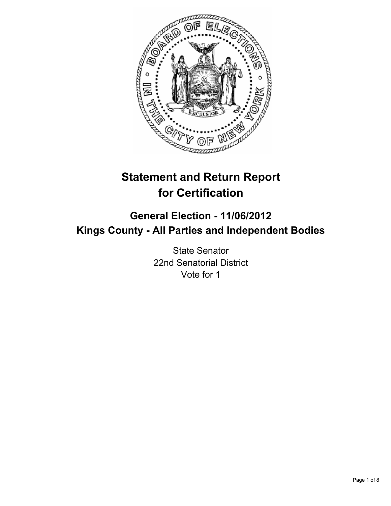

# **Statement and Return Report for Certification**

## **General Election - 11/06/2012 Kings County - All Parties and Independent Bodies**

State Senator 22nd Senatorial District Vote for 1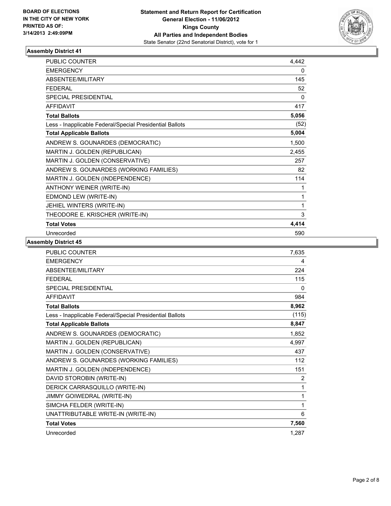

| <b>PUBLIC COUNTER</b>                                    | 4,442 |
|----------------------------------------------------------|-------|
| <b>EMERGENCY</b>                                         | 0     |
| ABSENTEE/MILITARY                                        | 145   |
| <b>FEDERAL</b>                                           | 52    |
| <b>SPECIAL PRESIDENTIAL</b>                              | 0     |
| <b>AFFIDAVIT</b>                                         | 417   |
| <b>Total Ballots</b>                                     | 5,056 |
| Less - Inapplicable Federal/Special Presidential Ballots | (52)  |
| <b>Total Applicable Ballots</b>                          | 5,004 |
| ANDREW S. GOUNARDES (DEMOCRATIC)                         | 1,500 |
| MARTIN J. GOLDEN (REPUBLICAN)                            | 2,455 |
| MARTIN J. GOLDEN (CONSERVATIVE)                          | 257   |
| ANDREW S. GOUNARDES (WORKING FAMILIES)                   | 82    |
| MARTIN J. GOLDEN (INDEPENDENCE)                          | 114   |
| ANTHONY WEINER (WRITE-IN)                                | 1     |
| EDMOND LEW (WRITE-IN)                                    | 1     |
| JEHIEL WINTERS (WRITE-IN)                                | 1     |
| THEODORE E. KRISCHER (WRITE-IN)                          | 3     |
| <b>Total Votes</b>                                       | 4,414 |
| Unrecorded                                               | 590   |

| <b>PUBLIC COUNTER</b>                                    | 7,635    |
|----------------------------------------------------------|----------|
| <b>EMERGENCY</b>                                         | 4        |
| ABSENTEE/MILITARY                                        | 224      |
| <b>FFDFRAL</b>                                           | 115      |
| <b>SPECIAL PRESIDENTIAL</b>                              | $\Omega$ |
| <b>AFFIDAVIT</b>                                         | 984      |
| <b>Total Ballots</b>                                     | 8,962    |
| Less - Inapplicable Federal/Special Presidential Ballots | (115)    |
| <b>Total Applicable Ballots</b>                          | 8,847    |
| ANDREW S. GOUNARDES (DEMOCRATIC)                         | 1,852    |
| MARTIN J. GOLDEN (REPUBLICAN)                            | 4,997    |
| MARTIN J. GOLDEN (CONSERVATIVE)                          | 437      |
| ANDREW S. GOUNARDES (WORKING FAMILIES)                   | 112      |
| MARTIN J. GOLDEN (INDEPENDENCE)                          | 151      |
| DAVID STOROBIN (WRITE-IN)                                | 2        |
| DERICK CARRASQUILLO (WRITE-IN)                           | 1        |
| JIMMY GOIWEDRAL (WRITE-IN)                               | 1        |
| SIMCHA FELDER (WRITE-IN)                                 | 1        |
| UNATTRIBUTABLE WRITE-IN (WRITE-IN)                       | 6        |
| <b>Total Votes</b>                                       | 7,560    |
| Unrecorded                                               | 1.287    |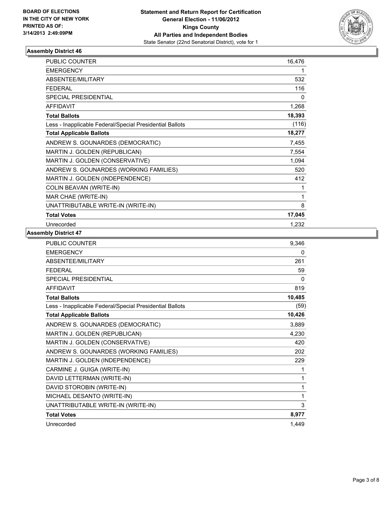

| <b>PUBLIC COUNTER</b>                                    | 16,476 |
|----------------------------------------------------------|--------|
| <b>EMERGENCY</b>                                         | 1      |
| ABSENTEE/MILITARY                                        | 532    |
| <b>FEDERAL</b>                                           | 116    |
| SPECIAL PRESIDENTIAL                                     | 0      |
| <b>AFFIDAVIT</b>                                         | 1,268  |
| <b>Total Ballots</b>                                     | 18,393 |
| Less - Inapplicable Federal/Special Presidential Ballots | (116)  |
| <b>Total Applicable Ballots</b>                          | 18,277 |
| ANDREW S. GOUNARDES (DEMOCRATIC)                         | 7,455  |
| MARTIN J. GOLDEN (REPUBLICAN)                            | 7,554  |
| MARTIN J. GOLDEN (CONSERVATIVE)                          | 1,094  |
| ANDREW S. GOUNARDES (WORKING FAMILIES)                   | 520    |
| MARTIN J. GOLDEN (INDEPENDENCE)                          | 412    |
| COLIN BEAVAN (WRITE-IN)                                  | 1      |
| MAR CHAE (WRITE-IN)                                      | 1      |
| UNATTRIBUTABLE WRITE-IN (WRITE-IN)                       | 8      |
| <b>Total Votes</b>                                       | 17,045 |
| Unrecorded                                               | 1,232  |

| <b>PUBLIC COUNTER</b>                                    | 9,346    |
|----------------------------------------------------------|----------|
| <b>EMERGENCY</b>                                         | 0        |
| <b>ABSENTEE/MILITARY</b>                                 | 261      |
| <b>FFDFRAL</b>                                           | 59       |
| <b>SPECIAL PRESIDENTIAL</b>                              | $\Omega$ |
| <b>AFFIDAVIT</b>                                         | 819      |
| <b>Total Ballots</b>                                     | 10,485   |
| Less - Inapplicable Federal/Special Presidential Ballots | (59)     |
| <b>Total Applicable Ballots</b>                          | 10,426   |
| ANDREW S. GOUNARDES (DEMOCRATIC)                         | 3,889    |
| MARTIN J. GOLDEN (REPUBLICAN)                            | 4,230    |
| MARTIN J. GOLDEN (CONSERVATIVE)                          | 420      |
| ANDREW S. GOUNARDES (WORKING FAMILIES)                   | 202      |
| MARTIN J. GOLDEN (INDEPENDENCE)                          | 229      |
| CARMINE J. GUIGA (WRITE-IN)                              | 1        |
| DAVID LETTERMAN (WRITE-IN)                               | 1        |
| DAVID STOROBIN (WRITE-IN)                                | 1        |
| MICHAEL DESANTO (WRITE-IN)                               | 1        |
| UNATTRIBUTABLE WRITE-IN (WRITE-IN)                       | 3        |
| <b>Total Votes</b>                                       | 8,977    |
| Unrecorded                                               | 1,449    |
|                                                          |          |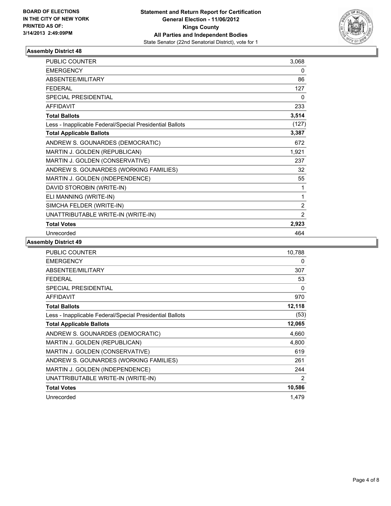

| <b>PUBLIC COUNTER</b>                                    | 3,068          |
|----------------------------------------------------------|----------------|
| <b>EMERGENCY</b>                                         | 0              |
| ABSENTEE/MILITARY                                        | 86             |
| <b>FEDERAL</b>                                           | 127            |
| <b>SPECIAL PRESIDENTIAL</b>                              | 0              |
| <b>AFFIDAVIT</b>                                         | 233            |
| <b>Total Ballots</b>                                     | 3,514          |
| Less - Inapplicable Federal/Special Presidential Ballots | (127)          |
| <b>Total Applicable Ballots</b>                          | 3,387          |
| ANDREW S. GOUNARDES (DEMOCRATIC)                         | 672            |
| MARTIN J. GOLDEN (REPUBLICAN)                            | 1,921          |
| MARTIN J. GOLDEN (CONSERVATIVE)                          | 237            |
| ANDREW S. GOUNARDES (WORKING FAMILIES)                   | 32             |
| MARTIN J. GOLDEN (INDEPENDENCE)                          | 55             |
| DAVID STOROBIN (WRITE-IN)                                | 1              |
| ELI MANNING (WRITE-IN)                                   | 1              |
| SIMCHA FELDER (WRITE-IN)                                 | $\overline{2}$ |
| UNATTRIBUTABLE WRITE-IN (WRITE-IN)                       | $\overline{2}$ |
| <b>Total Votes</b>                                       | 2,923          |
| Unrecorded                                               | 464            |

| <b>PUBLIC COUNTER</b>                                    | 10,788         |
|----------------------------------------------------------|----------------|
| <b>EMERGENCY</b>                                         | 0              |
| <b>ABSENTEE/MILITARY</b>                                 | 307            |
| <b>FEDERAL</b>                                           | 53             |
| SPECIAL PRESIDENTIAL                                     | 0              |
| <b>AFFIDAVIT</b>                                         | 970            |
| <b>Total Ballots</b>                                     | 12,118         |
| Less - Inapplicable Federal/Special Presidential Ballots | (53)           |
| <b>Total Applicable Ballots</b>                          | 12,065         |
| ANDREW S. GOUNARDES (DEMOCRATIC)                         | 4,660          |
| MARTIN J. GOLDEN (REPUBLICAN)                            | 4,800          |
| MARTIN J. GOLDEN (CONSERVATIVE)                          | 619            |
| ANDREW S. GOUNARDES (WORKING FAMILIES)                   | 261            |
| MARTIN J. GOLDEN (INDEPENDENCE)                          | 244            |
| UNATTRIBUTABLE WRITE-IN (WRITE-IN)                       | $\overline{2}$ |
| <b>Total Votes</b>                                       | 10,586         |
| Unrecorded                                               | 1,479          |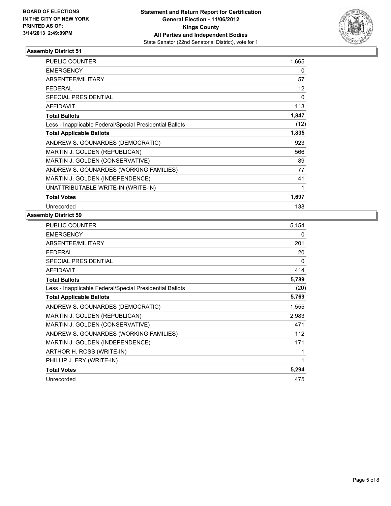

| <b>PUBLIC COUNTER</b>                                    | 1,665 |
|----------------------------------------------------------|-------|
| <b>EMERGENCY</b>                                         | 0     |
| <b>ABSENTEE/MILITARY</b>                                 | 57    |
| FEDERAL                                                  | 12    |
| SPECIAL PRESIDENTIAL                                     | 0     |
| <b>AFFIDAVIT</b>                                         | 113   |
| <b>Total Ballots</b>                                     | 1,847 |
| Less - Inapplicable Federal/Special Presidential Ballots | (12)  |
| <b>Total Applicable Ballots</b>                          | 1,835 |
| ANDREW S. GOUNARDES (DEMOCRATIC)                         | 923   |
| MARTIN J. GOLDEN (REPUBLICAN)                            | 566   |
| MARTIN J. GOLDEN (CONSERVATIVE)                          | 89    |
| ANDREW S. GOUNARDES (WORKING FAMILIES)                   | 77    |
| MARTIN J. GOLDEN (INDEPENDENCE)                          | 41    |
| UNATTRIBUTABLE WRITE-IN (WRITE-IN)                       | 1     |
| <b>Total Votes</b>                                       | 1,697 |
| Unrecorded                                               | 138   |

| <b>PUBLIC COUNTER</b>                                    | 5,154 |
|----------------------------------------------------------|-------|
| <b>EMERGENCY</b>                                         | 0     |
| ABSENTEE/MILITARY                                        | 201   |
| <b>FEDERAL</b>                                           | 20    |
| SPECIAL PRESIDENTIAL                                     | 0     |
| <b>AFFIDAVIT</b>                                         | 414   |
| <b>Total Ballots</b>                                     | 5,789 |
| Less - Inapplicable Federal/Special Presidential Ballots | (20)  |
| <b>Total Applicable Ballots</b>                          | 5,769 |
| ANDREW S. GOUNARDES (DEMOCRATIC)                         | 1,555 |
| MARTIN J. GOLDEN (REPUBLICAN)                            | 2,983 |
| MARTIN J. GOLDEN (CONSERVATIVE)                          | 471   |
| ANDREW S. GOUNARDES (WORKING FAMILIES)                   | 112   |
| MARTIN J. GOLDEN (INDEPENDENCE)                          | 171   |
| ARTHOR H. ROSS (WRITE-IN)                                | 1     |
| PHILLIP J. FRY (WRITE-IN)                                | 1     |
| <b>Total Votes</b>                                       | 5,294 |
| Unrecorded                                               | 475   |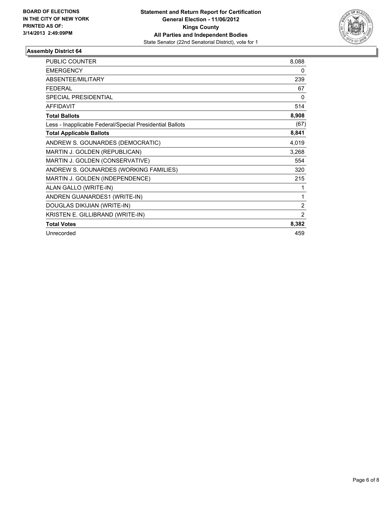

| <b>PUBLIC COUNTER</b>                                    | 8,088 |
|----------------------------------------------------------|-------|
| <b>EMERGENCY</b>                                         | 0     |
| ABSENTEE/MILITARY                                        | 239   |
| <b>FEDERAL</b>                                           | 67    |
| SPECIAL PRESIDENTIAL                                     | 0     |
| <b>AFFIDAVIT</b>                                         | 514   |
| <b>Total Ballots</b>                                     | 8,908 |
| Less - Inapplicable Federal/Special Presidential Ballots | (67)  |
| <b>Total Applicable Ballots</b>                          | 8,841 |
| ANDREW S. GOUNARDES (DEMOCRATIC)                         | 4,019 |
| MARTIN J. GOLDEN (REPUBLICAN)                            | 3,268 |
| MARTIN J. GOLDEN (CONSERVATIVE)                          | 554   |
| ANDREW S. GOUNARDES (WORKING FAMILIES)                   | 320   |
| MARTIN J. GOLDEN (INDEPENDENCE)                          | 215   |
| ALAN GALLO (WRITE-IN)                                    | 1     |
| ANDREN GUANARDES1 (WRITE-IN)                             | 1     |
| DOUGLAS DIKIJIAN (WRITE-IN)                              | 2     |
| KRISTEN E. GILLIBRAND (WRITE-IN)                         | 2     |
| <b>Total Votes</b>                                       | 8,382 |
| Unrecorded                                               | 459   |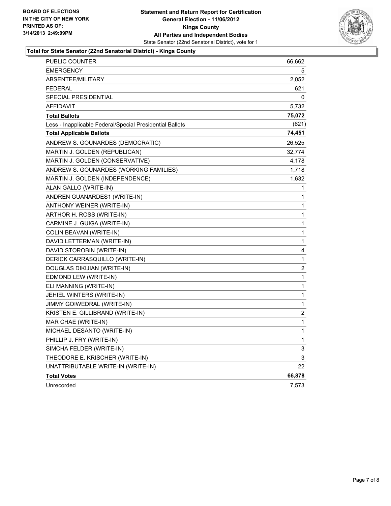

#### **Total for State Senator (22nd Senatorial District) - Kings County**

| <b>PUBLIC COUNTER</b>                                    | 66,662         |
|----------------------------------------------------------|----------------|
| <b>EMERGENCY</b>                                         | 5              |
| ABSENTEE/MILITARY                                        | 2,052          |
| <b>FEDERAL</b>                                           | 621            |
| <b>SPECIAL PRESIDENTIAL</b>                              | 0              |
| <b>AFFIDAVIT</b>                                         | 5,732          |
| <b>Total Ballots</b>                                     | 75,072         |
| Less - Inapplicable Federal/Special Presidential Ballots | (621)          |
| <b>Total Applicable Ballots</b>                          | 74,451         |
| ANDREW S. GOUNARDES (DEMOCRATIC)                         | 26,525         |
| MARTIN J. GOLDEN (REPUBLICAN)                            | 32,774         |
| MARTIN J. GOLDEN (CONSERVATIVE)                          | 4,178          |
| ANDREW S. GOUNARDES (WORKING FAMILIES)                   | 1,718          |
| MARTIN J. GOLDEN (INDEPENDENCE)                          | 1,632          |
| ALAN GALLO (WRITE-IN)                                    | 1              |
| ANDREN GUANARDES1 (WRITE-IN)                             | 1              |
| ANTHONY WEINER (WRITE-IN)                                | 1              |
| ARTHOR H. ROSS (WRITE-IN)                                | 1              |
| CARMINE J. GUIGA (WRITE-IN)                              | 1              |
| COLIN BEAVAN (WRITE-IN)                                  | 1              |
| DAVID LETTERMAN (WRITE-IN)                               | 1              |
| DAVID STOROBIN (WRITE-IN)                                | 4              |
| DERICK CARRASQUILLO (WRITE-IN)                           | 1              |
| DOUGLAS DIKIJIAN (WRITE-IN)                              | $\overline{c}$ |
| EDMOND LEW (WRITE-IN)                                    | 1              |
| ELI MANNING (WRITE-IN)                                   | 1              |
| JEHIEL WINTERS (WRITE-IN)                                | 1              |
| JIMMY GOIWEDRAL (WRITE-IN)                               | 1              |
| KRISTEN E. GILLIBRAND (WRITE-IN)                         | 2              |
| MAR CHAE (WRITE-IN)                                      | 1              |
| MICHAEL DESANTO (WRITE-IN)                               | 1              |
| PHILLIP J. FRY (WRITE-IN)                                | 1              |
| SIMCHA FELDER (WRITE-IN)                                 | 3              |
| THEODORE E. KRISCHER (WRITE-IN)                          | 3              |
| UNATTRIBUTABLE WRITE-IN (WRITE-IN)                       | 22             |
| <b>Total Votes</b>                                       | 66,878         |
| Unrecorded                                               | 7,573          |